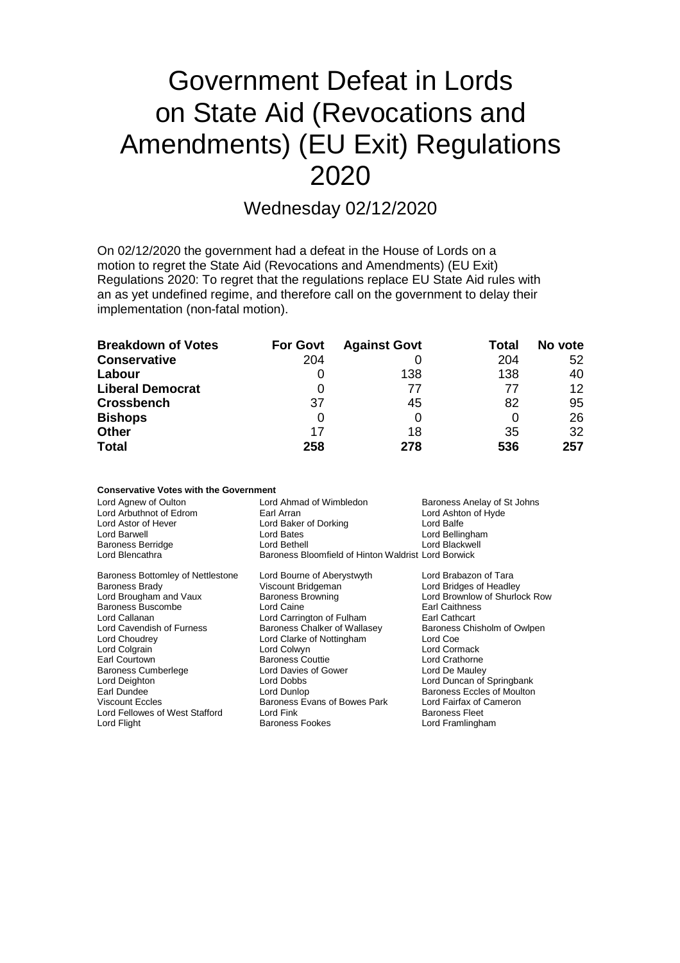# Government Defeat in Lords on State Aid (Revocations and Amendments) (EU Exit) Regulations 2020

### Wednesday 02/12/2020

On 02/12/2020 the government had a defeat in the House of Lords on a motion to regret the State Aid (Revocations and Amendments) (EU Exit) Regulations 2020: To regret that the regulations replace EU State Aid rules with an as yet undefined regime, and therefore call on the government to delay their implementation (non-fatal motion).

| <b>Breakdown of Votes</b> | <b>For Govt</b> | <b>Against Govt</b> | Total | No vote |
|---------------------------|-----------------|---------------------|-------|---------|
| <b>Conservative</b>       | 204             |                     | 204   | 52      |
| Labour                    |                 | 138                 | 138   | 40      |
| <b>Liberal Democrat</b>   |                 | 77                  | 77    | $12 \,$ |
| <b>Crossbench</b>         | 37              | 45                  | 82    | 95      |
| <b>Bishops</b>            | 0               |                     |       | 26      |
| <b>Other</b>              | 17              | 18                  | 35    | 32      |
| <b>Total</b>              | 258             | 278                 | 536   | 257     |

| <b>Conservative Votes with the Government</b> |                                                     |                                   |  |  |  |
|-----------------------------------------------|-----------------------------------------------------|-----------------------------------|--|--|--|
| Lord Agnew of Oulton                          | Lord Ahmad of Wimbledon                             | Baroness Anelay of St Johns       |  |  |  |
| Lord Arbuthnot of Edrom                       | Earl Arran                                          | Lord Ashton of Hyde               |  |  |  |
| Lord Astor of Hever                           | Lord Baker of Dorking                               | Lord Balfe                        |  |  |  |
| Lord Barwell                                  | Lord Bates                                          | Lord Bellingham                   |  |  |  |
| <b>Baroness Berridge</b>                      | Lord Bethell                                        | Lord Blackwell                    |  |  |  |
| Lord Blencathra                               | Baroness Bloomfield of Hinton Waldrist Lord Borwick |                                   |  |  |  |
| Baroness Bottomley of Nettlestone             | Lord Bourne of Aberystwyth                          | Lord Brabazon of Tara             |  |  |  |
| <b>Baroness Brady</b>                         | Viscount Bridgeman                                  | Lord Bridges of Headley           |  |  |  |
| Lord Brougham and Vaux                        | <b>Baroness Browning</b>                            | Lord Brownlow of Shurlock Row     |  |  |  |
| Baroness Buscombe                             | Lord Caine                                          | Earl Caithness                    |  |  |  |
| Lord Callanan                                 | Lord Carrington of Fulham                           | <b>Earl Cathcart</b>              |  |  |  |
| Lord Cavendish of Furness                     | Baroness Chalker of Wallasey                        | Baroness Chisholm of Owlpen       |  |  |  |
| Lord Choudrey                                 | Lord Clarke of Nottingham                           | Lord Coe                          |  |  |  |
| Lord Colgrain                                 | Lord Colwyn                                         | Lord Cormack                      |  |  |  |
| Earl Courtown                                 | <b>Baroness Couttie</b>                             | Lord Crathorne                    |  |  |  |
| <b>Baroness Cumberlege</b>                    | Lord Davies of Gower                                | Lord De Mauley                    |  |  |  |
| Lord Deighton                                 | Lord Dobbs                                          | Lord Duncan of Springbank         |  |  |  |
| Earl Dundee                                   | Lord Dunlop                                         | <b>Baroness Eccles of Moulton</b> |  |  |  |
| <b>Viscount Eccles</b>                        | Baroness Evans of Bowes Park                        | Lord Fairfax of Cameron           |  |  |  |
| Lord Fellowes of West Stafford                | Lord Fink                                           | <b>Baroness Fleet</b>             |  |  |  |
| Lord Flight                                   | <b>Baroness Fookes</b>                              | Lord Framlingham                  |  |  |  |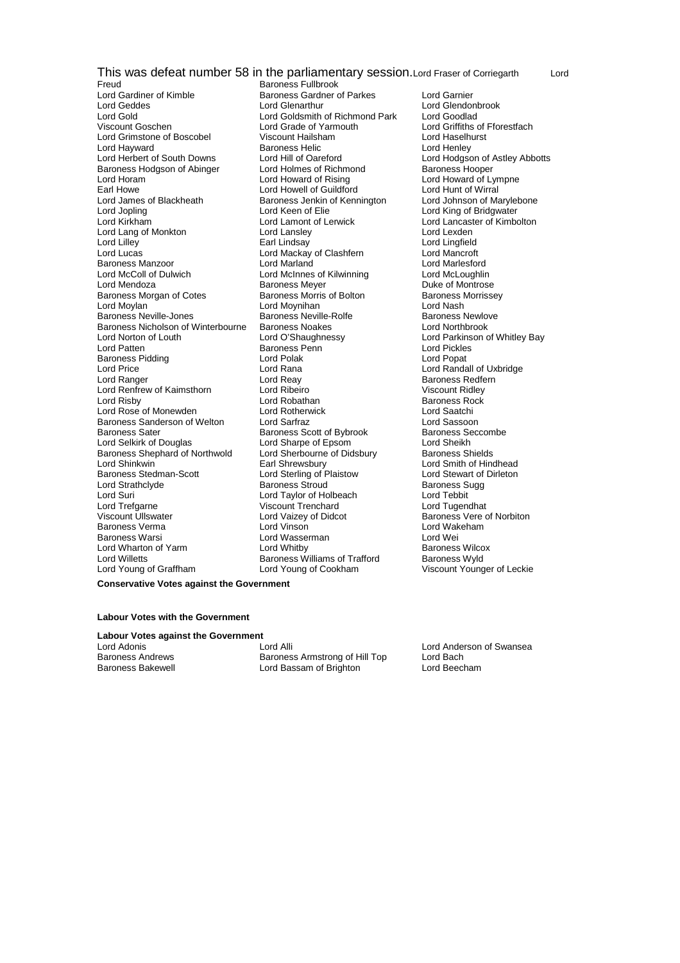This was defeat number 58 in the parliamentary session.Lord Fraser of Corriegarth Lord<br>Freud Baroness Fullbrook

Freud<br>
Lord Gardiner of Kimble<br>
Lord Gardiner of Kimble<br>
Baroness Gardner of Lord Gardiner of Kimble **Baroness Gardner of Parkes** Lord Garnier<br>
Lord Geddes **Lord Garnier**<br>
Lord Glenathur Lord Geddes **Lord Glenarthur** Lord Glenarthur Lord Glendonbrook<br>Lord Gold Lord Goldsmith of Richmond Park Lord Goodlad Lord Gold<br>
Lord Goldsmith of Richmond Park<br>
Lord Grade of Yarmouth<br>
Lord Grade of Yarmouth Lord Grimstone of Boscobel Viscount Hailsham and Lord Haselhurst Lord Haselhurst<br>
Lord Hayward **Constant Hartware Baroness Helic** Lord Henley Lord Hayward **Baroness Helic** Lord Henley<br>Lord Herbert of South Downs Lord Hill of Oareford **Lord Horney Lord Hodgs** Baroness Hodgson of Abinger Lord Holmes of Richmond Baroness Hodgson of Abinger Lord Howard of Rising Lord Horam Lord Howard of Rising Lord Howard of Lympne<br>
Lord Howard Cord Howell of Guildford Lord Hunt of Wirral Earl Howe Lord Howell of Guildford Lord Hunt of Wirral<br>Lord James of Blackheath Baroness Jenkin of Kennington Lord Johnson of Marvlebone Lord Jopling The Lord Keen of Elie Lord Keen Cord King of Bridgwater<br>Lord Kirkham Lord Lord Lamont of Lerwick Lord Lancaster of Kimbo Lord Lang of Monkton Lord Lansley<br>Lord Lilley Lord Lansley Lord Lilley Earl Lindsay Lord Lingfield Baroness Manzoor Lord Marland Lord Marlesford Lord Mendoza **Baroness Meyer** Baroness Meyer **Duke of Montrose**<br>Baroness Morgan of Cotes **Baroness Morris of Bolton** Baroness Morrissey Baroness Morgan of Cotes **Baroness Morris of Bolton** Baroness I<br>Lord Movian Baroness Morris of Bolton Baroness I<br>Lord Moshinan Baroness Neville-Jones<br>
Baroness Nextle-Rolfe Baroness Newlove Baroness Newlove Baroness Newlove Baroness Newlove Baroness Newlove Baroness Newlove Baroness Newlove Baroness Newlove Baroness Newlove Baroness Newlove Barone Baroness Nicholson of Winterbourne Lord Norton of Louth Lord O'Shaughnessy Lord Parkinson of Whitley Bay Lord Patten Baroness Penn Lord Pickles Baroness Pidding The Lord Polak Controller and Lord Popat Lord Popat Lord Popat Lord Popat Lord Randa Lord Price **Lord Rana Lord Rana Lord Rana Lord Rana** Lord Randall of Uxbridge Lord Rana Lord Rana Lord Rana Lord Rana Lord Rana Lord Rana Lord Rana Lord Rana Lord Rana Lord Rana Lord Rana Lord Rana Lord Rana Lord Rana Lord Lord Renfrew of Kaimsthorn Lord Ribeiro<br>1991 Lord Risby Cord Robathan Lord Rose of Monewden Lord Rotherwick Lord Saatchi Baroness Sanderson of Welton Lord Sarfraz **Lord Sanderson Lord Sassoon**<br>Baroness Sater Baroness Scott of Bybrook Baroness Seccombe Baroness Sater **Baroness Scott of Bybrook** Baroness Scott of Bybrook Baroness Scott of Bybrook Baroness Scott of Bybrook Baroness Scott of Bybrook Baroness Scott of Bybrook Baroness Scott of Bybrook Baroness Scott of Bybro Lord Selkirk of Douglas **Lord Sharpe of Epsom** Lord Sheikh<br>Baroness Shephard of Northwold Lord Sherbourne of Didsbury Baroness Shields Baroness Shephard of Northwold Lord Sherbourne<br>Lord Shinkwin Baroness Carl Shrewsbury Lord Shinkwin Earl Shrewsbury Lord Smith of Hindhead<br>Baroness Stedman-Scott Lord Sterling of Plaistow Lord Stewart of Dirleton Lord Strathclyde Baroness Stroud Baroness Sugg Lord Suri Chronic Lord Taylor of Holbeach Chronic Lord Tebbit<br>Cord Trefaarne Chronic Chronic Chronic Viscount Trenchard Chronic Lord Tugendhat Lord Trefgarne Viscount Trenchard<br>
Viscount Ullswater<br>
Viscount Ullswater
Lord Vaizey of Didcot Baroness Verma Lord Vinson Lord Wakeham ermanness Warsi Marsi Lord Wassermanness Warsi Lord Weill Lord Weill Lord Weill Lord Weill Lord Whitby<br>
Lord Wharton of Yarm Music Lord Whitby Music Charless Wilcox Lord Wharton of Yarm Lord Willetts **Baroness Williams of Trafford** Baroness Wyld<br>
Lord Young of Graffham **Baroness Wyld Lord Young of Cookham** Viscount Young

Baroness Jenkin of Kennington Lord Lamont of Lerwick Lord Lancaster of Kimbolton<br>
Lord Lanslev Lord Lexden Lord Mackay of Clashfern Lord McInnes of Kilwinning Lord Moynihan **Lord Nash**<br>
Baroness Neville-Rolfe **Communist Control Control Control Baroness Newlove** Lord Reay **Baroness Redfern**<br>
Lord Ribeiro **Baroness Redfern**<br>
Viscount Ridlev Lord Robathan **Baroness Rock**<br> **Cord Rotherwick** Baroness Rock<br>
Lord Saatchi Lord Sterling of Plaistow Lord Vaizey of Didcot **Baroness Vere of Norbiton**<br>
Lord Vinson<br>
Lord Wakeham

Viscount Goschen Lord Grade of Yarmouth Lord Griffiths of Fforestfach Lord Hill of Oareford<br>
Lord Holdes of Richmond<br>
Baroness Hooper Lord Young of Cookham Viscount Younger of Leckie

**Conservative Votes against the Government**

#### **Labour Votes with the Government**

#### **Labour Votes against the Government**

Baroness Bakewell Lord Bassam of Brighton Lord Beecham

Lord Adonis Lord Alli Lord Anderson of Swansea Baroness Andrews **Baroness Armstrong of Hill Top** Lord Bach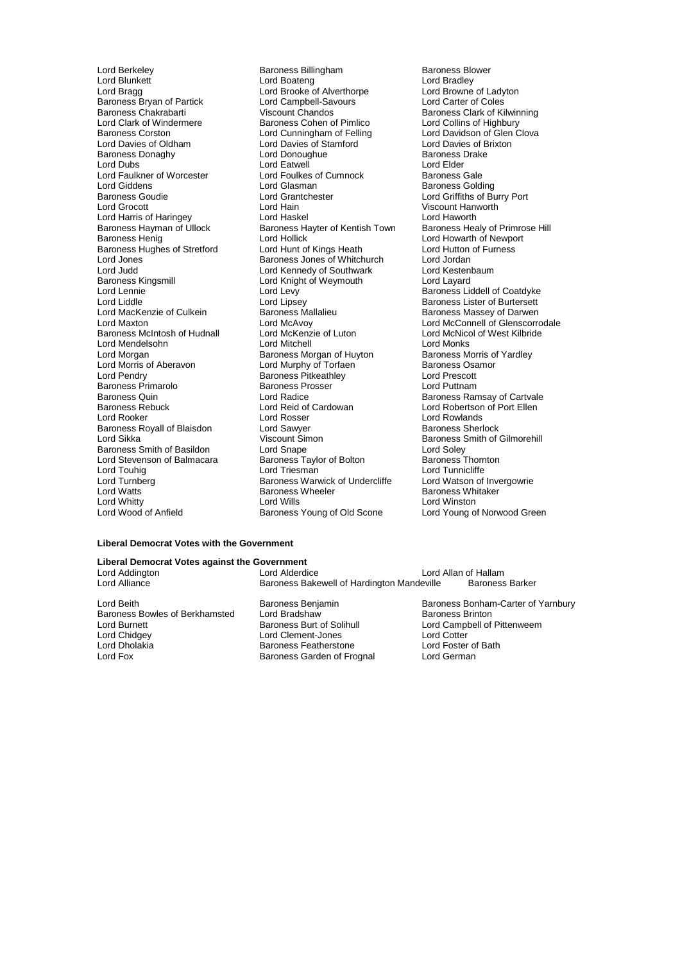Lord Faulkner of Worcester **Lord Foulkes of Cumnock**<br>Lord Giddens Lord Glasman Lord Morgan<br>Lord Morgan Baroness Morgan of Huyton<br>Lord Morris of Aberavon Baroness Morgan Baroness Morgan Baroness Primarolo **Baroness Prosser Lord Baroness Prosser Lord Radice**<br>Baroness Quin Baroness Royall of Blaisdon Lord Stevenson of Balmacara Baroness Taylor Baroness Taylor of Balmacara<br>Baroness Taylor Cord Baroness Triesman

Lord Berkeley **Baroness Billingham** Baroness Blower<br>
Lord Blunkett **Baroness Billingham** Baroness Blower<br>
Lord Bradley Lord Blunkett Lord Boateng Lord Bradley Lord Bragg Lord Brooke of Alverthorpe Lord Browne of Ladyton Lord Bragg<br>
Lord Bragg<br>
Baroness Bryan of Partick Lord Campbell-Savours Lord Carter of Coles<br>
Baroness Chakrabarti Viscount Chandos Baroness Clark of Kil Baroness Chakrabarti Viscount Chandos Baroness Clark of Kilwinning Lord Clark of Windermere Baroness Cohen of Pimlico Lord Collins of Highbury Baroness Corston Lord Cunningham of Felling Lord Davidson of Glen Clova Lord Davies of Oldham Lord Davies of Stamford Clord Davies of Brixton<br>
Baroness Donaghy Cord Donoughue Cord Donoughue Baroness Drake Baroness Donaghy **Baroness I** Lord Donoughue **Baroness Donaghy**<br>
Lord Dubs **Communicate Communicate Communicate Communicate Communicate Communicate Communicate Communicate Communicate** Lord Dubs<br>
Lord Eatwell Lord Eatwell<br>
Lord Faulkner of Worcester Lord Foulkes of Cumnock Baroness Gale Lord Giddens **Lord Glasman** Communications Colding Baroness Golding<br>
Baroness Goudie **Baroness Colding Communications**<br>
Lord Griffiths of Bu Baroness Goudie Lord Grantchester Lord Griffiths of Burry Port Lord Hain **Carlo Corporation Corporation**<br>
Lord Haskel **Corporation Corporation**<br>
Lord Haworth Lord Harris of Haringey **Lord Haskel Communist Communist Communist Communist Communist Communist Communist Comm**<br>Baroness Hayman of Ullock **Baroness Hayter of Kentish Town** Baroness Healy of Primrose Hill Baroness Hayman of Ullock Baroness Hayter of Kentish Town<br>Baroness Henig Priman Baroness Henig Lord Hollick Lord Hollick (Executive Lord Howarth of Newport<br>
Lord Hunt of Kings Heath (Executive Lord Hutton of Furness Baroness Hughes of Stretford Lord Hunt of Kings Heath Lord Lord Hutton Lord Hutton Cord Jordan Lord Jones **Example:** Baroness Jones of Whitchurch Lord Jordan<br>Lord Judd **Corporation Lord Kennedy of Southwark** Lord Kestenbaum Lord Judd<br>
Lord Assembly Lord Kennedy of Southwark Lord Kestenbaum<br>
Lord Lord Lord Knight of Weymouth Lord Layard Baroness, St. 2006.<br>Lord Knight of Weymouth Lord Lennie The Lord Levy Controllery Baroness Liddell of Coatdyke<br>Cord Liddle Lord Lipsey Lord Lipsey Baroness Lister of Burtersett Lord Liddle Lord Lipsey Lord Lipsey Corporation Baroness Lister of Burtersett<br>Lord MacKenzie of Culkein Baroness Mallalieu Baroness Massey of Darwen Baroness Mallalieu Baroness Massey of Darwen<br>
Lord McAvoy Lord McConnell of Glenscorr<br>
Lord McNicol of West Kilbride<br>
Lord McNicol of West Kilbride Lord Maxton Lord McAvoy Lord McAvoy Lord McConnell of Glenscorrodale<br>Baroness McIntosh of Hudnall Lord McKenzie of Luton Lord McNicol of West Kilbride Baroness McIntosh of Hudnall Lord McKenzie of Luton Lord McNicc<br>
Lord Mendelsohn Lord Mitchell Cord Mitchell Lord Monks Lord Mendelsohn **Lord Lord Mitchell** Lord Mendelsohn Lord Monks<br>
Lord Morgan Lord Morgan of Huvton Baroness Morris of Yardley Lord Morris of Aberavon **Lord Murphy of Torfaen** Baroness Osamor<br>
Lord Pendry **Corris Corris Corris Corris Corris Corris Corris Corris Corris Corris Corris Corris Corris Corris Corris Corris Corris Corris Corris Corris Cor** Lord Pendry Baroness Pitkeathley Lord Prescott Baroness Quin **Communist Control Control** Lord Radice **Baroness Ramsay of Cartvale**<br>Baroness Rebuck **Baroness Rebuck** Lord Reid of Cardowan **Baroness Rebuck** Lord Robertson of Port Ellen Baroness Rebuck **Lord Reid of Cardowan** Cardowan Lord Robertson of Port Ellen<br>Lord Rooker Lord Rosser Corpus Corpus Lord Rowlands Lord Rosser **Lord Rowlands**<br> **Lord Sawver** Communication Research Lord Sikka Viscount Simon Charles Smith of Gilmorehill<br>Baroness Smith of Basildon Lord Snape Cord Snape Lord Soley Baroness Smith of Basildon Lord Snape<br>
Lord Stevenson of Balmacara Baroness Taylor of Bolton Baroness Thornton Lord Turnberg **Baroness Warwick of Undercliffe** Lord Watson of Invergowrie<br>
Lord Watts Corp Caroness Wheeler **Baroness Whitaker** Lord Watts Text Communist Baroness Wheeler Theorem Baroness Whitaker<br>The Baroness Wheeler Theorem Baroness Whitaker<br>Lord Winston Lord Whitty **Lord Wills** Lord Wills **Lord Winston**<br>
Lord Wood of Anfield **Conduct Baroness Young of Old Scone** Lord Young of Norwood Green Baroness Young of Old Scone

Lord Tunnicliffe

#### **Liberal Democrat Votes with the Government**

#### **Liberal Democrat Votes against the Government**

Lord Alliance **Baroness Bakewell of Hardington Mandeville** Baroness Barker

Baroness Bowles of Berkhamsted Lord Bradshaw<br>Lord Burnett Baroness Burt of Solihull Lord Burnett **Baroness Burt of Solihull** Lord Campbell of Pittenweem<br>
Lord Chidgey **Collect Lord Clement-Jones** Lord Cotter Lord Cotter Lord Chidgey Lord Clement-Jones Lord Cotter Lord Dholakia Baroness Featherstone Lord Foster of Bath

Baroness Garden of Frognal

Lord Beith Baroness Benjamin Baroness Benjamin Baroness Bonham-Carter of Yarnbury<br>Baroness Bowles of Berkhamsted Lord Bradshaw Baroness Brinton

Lord Allan of Hallam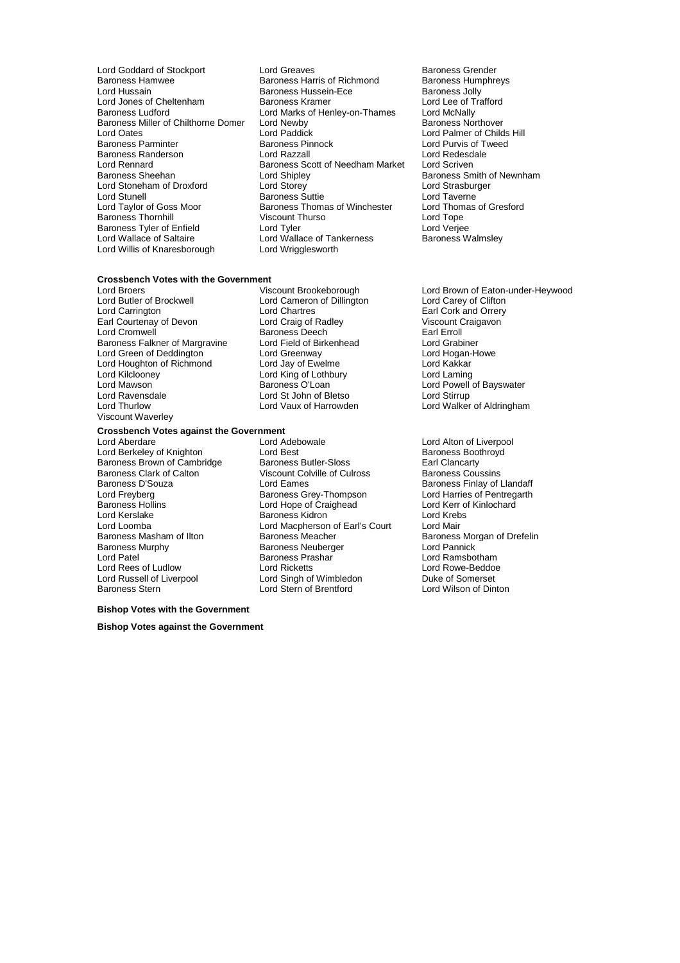- Baroness Miller of Chilthorne Domer Lord Newby<br>Lord Oates Lord Paddick Lord Rennard **Baroness Scott of Needham Market**<br>Baroness Sheehan **Baroness Scott of Needham Market** Lord Stunell<br>
Lord Tavlor of Goss Moor Baroness Thomas of Winchester Lord Willis of Knaresborough Lord Wrigglesworth
- Lord Goddard of Stockport Lord Greaves Corport Baroness Grender<br>Baroness Hamwee Baroness Harris of Richmond Baroness Humphreys Baroness Hamwee Baroness Harris of Richmond<br>
Baroness Harris of Richmond Baroness Humphreys Harris of Richmond Baroness Humphreys Jolly Baroness Hussein-Ece Baroness Jolly<br>
Baroness Kramer<br>
Lord Lee of Trafford Lord Jones of Cheltenham Baroness Kramer Lord Lee of Trafford Lee of Trafford Lee of Trafford Lee of Trafford<br>Baroness Ludford Lord Marks of Henley-on-Thames Lord McNally Lord Marks of Henley-on-Thames Lord McNally<br>Lord Newby **Baroness Northover** Lord Oates Lord Paddick Lord Palmer of Childs Hill Baroness Pinnock **Exercise Search Purvis of Tweed Lord Razzall**<br>
Lord Razzall Baroness Randerson Lord Razzall Lord Redesdale **Baroness Smith of Newnham Lord Shipley**<br> **Baroness Smith of Newnham Lord Strasburger** Lord Stoneham of Droxford Lord Storey Lord Storey Lord Strasburger<br>
Lord Stunell Baroness Suttie Lord Taverne Baroness Thomas of Winchester Lord Thomas of Gresford<br>Viscount Thurso **Container Corporation** Baroness Thornhill **Same Communist Communist Communist Communist Communist Communist Communist Communist Communist**<br>
Lord Tyler of Enfield **Communist Communist Communist Communist Communist Communist Communist Communist Co** Baroness Tyler of Enfield **Lord Tyler** Lord Tyler Lord Verjee<br>Lord Wallace of Saltaire Lord Wallace of Tankerness **Baroness Walmsley** Lord Wallace of Tankerness
	-

#### **Crossbench Votes with the Government**

Lord Butler of Brockwell Lord Cameron of Dillington<br>
Lord Carrington Cord Chartres Earl Courtenay of Devon Lord Craig of Radley<br>Lord Cromwell Craigavon Baroness Deech Earl Erroll Lord Cromwell **Communist Communist Communist Cromocon**<br>Baroness Falkner of Margravine Lord Field of Birkenhead **Earl Erroll** Baroness Falkner of Margravine Lord Field of Birkenhead Lord Grabiner Lord Green of Deddington **Lord Greenway Corporation** Lord Hogan-<br>Lord Houghton of Richmond Lord Jay of Ewelme **Lord Howe Lord Kakkar** Lord Houghton of Richmond Lord Kilclooney Lord King of Lothbury Lord Laming Lord Mawson **Communist Communist Communist Clean** Lord Powell of Bayswater<br>Lord Ravensdale **Lord Stimmer Lord Stephen Communist Communist Communist Communist Lord Stirrup** Lord Ravensdale Lord St John of Bletso<br>Lord Thurlow Lord Vaux of Harrowden Viscount Waverley

#### **Crossbench Votes against the Government**<br>Lord Aberdare Lord Adebowale

- 
- Lord Chartres **Earl Cork and Orrery**<br>
Lord Craig of Radley<br>
Viscount Craigavon
- Lord Aberdare **Lord Adebowale** Lord Atton of Liverpool<br>
Lord Berkeley of Knighton **Lord Best** Lord Best **Baroness Boothroyd** Lord Berkeley of Knighton **Lord Best** Lord Best **Baroness Boother Baroness Boother**<br>
Baroness Brown of Cambridge Baroness Butler-Sloss **Baroness Best Baroness** Best Clancarty Baroness Brown of Cambridge Baroness Butler-Sloss Earl Clancarty<br>
Baroness Clark of Calton Viscount Colville of Culross Baroness Coussins Viscount Colville of Culross Baroness D'Souza Lord Eames Baroness Finlay of Llandaff Lord Freyberg **Baroness Grey-Thompson** Lord Harries of Pentregarth<br>Baroness Hollins **Baroness Cord Hope of Craighead** Lord Kerr of Kinlochard Baroness Hollins **Lord Hope of Craighead** Lord Kerr of Craighead Lord Kerr of Craighead Lord Kerr of Kinlochard K Lord Kerslake Baroness Kidron Lord Krebs Lord Loomba<br>
Lord Macpherson of Earl's Court<br>
Baroness Meacher Baroness Masham of Ilton Baroness Meacher Baroness Meacher Baroness Morgan of Drefelin<br>Baroness Murphy Baroness Neuberger Baroness Lord Pannick Baroness Murphy Baroness Neuberger Lord Pannick Lord Patel Baroness Prashar Lord Ramsbotham Lord Rees of Ludlow Lord Ricketts Lord Rowe-Beddoe Lord Russell of Liverpool Lord Singh of Wimbledon Duke of Somerset Lord Stern of Brentford

### **Bishop Votes with the Government**

**Bishop Votes against the Government**

- Lord Broers Viscount Brookeborough Lord Brown of Eaton-under-Heywood Lord Walker of Aldringham
	-